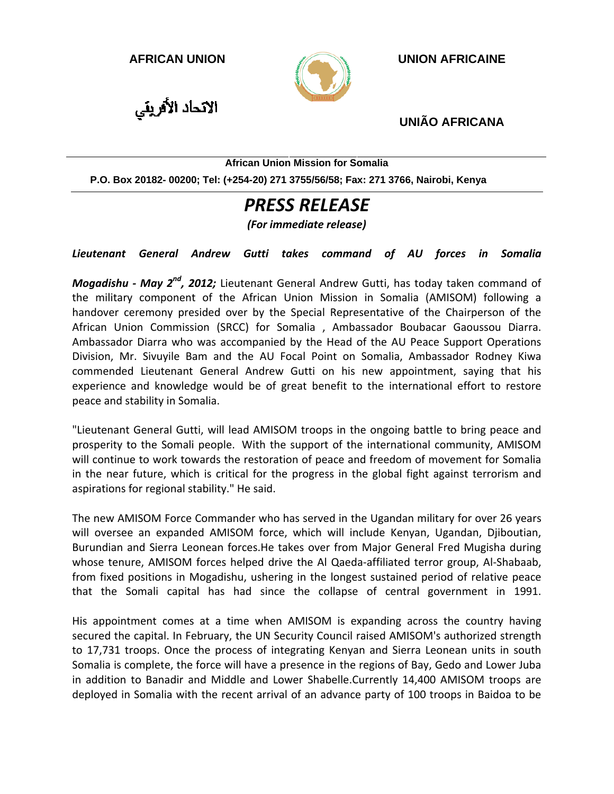

**AFRICAN UNION UNION AFRICAINE** 

الاتحاد الأفريقي

**UNIÃO AFRICANA** 

**African Union Mission for Somalia** 

**P.O. Box 20182- 00200; Tel: (+254-20) 271 3755/56/58; Fax: 271 3766, Nairobi, Kenya** 

## *PRESS RELEASE*

*(For immediate release)*

*Lieutenant General Andrew Gutti takes command of AU forces in Somalia*

*Mogadishu ‐ May 2nd, 2012;* Lieutenant General Andrew Gutti, has today taken command of the military component of the African Union Mission in Somalia (AMISOM) following a handover ceremony presided over by the Special Representative of the Chairperson of the African Union Commission (SRCC) for Somalia , Ambassador Boubacar Gaoussou Diarra. Ambassador Diarra who was accompanied by the Head of the AU Peace Support Operations Division, Mr. Sivuyile Bam and the AU Focal Point on Somalia, Ambassador Rodney Kiwa commended Lieutenant General Andrew Gutti on his new appointment, saying that his experience and knowledge would be of great benefit to the international effort to restore peace and stability in Somalia.

"Lieutenant General Gutti, will lead AMISOM troops in the ongoing battle to bring peace and prosperity to the Somali people. With the support of the international community, AMISOM will continue to work towards the restoration of peace and freedom of movement for Somalia in the near future, which is critical for the progress in the global fight against terrorism and aspirations for regional stability." He said.

The new AMISOM Force Commander who has served in the Ugandan military for over 26 years will oversee an expanded AMISOM force, which will include Kenyan, Ugandan, Djiboutian, Burundian and Sierra Leonean forces.He takes over from Major General Fred Mugisha during whose tenure, AMISOM forces helped drive the Al Qaeda-affiliated terror group, Al-Shabaab, from fixed positions in Mogadishu, ushering in the longest sustained period of relative peace that the Somali capital has had since the collapse of central government in 1991.

His appointment comes at a time when AMISOM is expanding across the country having secured the capital. In February, the UN Security Council raised AMISOM's authorized strength to 17,731 troops. Once the process of integrating Kenyan and Sierra Leonean units in south Somalia is complete, the force will have a presence in the regions of Bay, Gedo and Lower Juba in addition to Banadir and Middle and Lower Shabelle.Currently 14,400 AMISOM troops are deployed in Somalia with the recent arrival of an advance party of 100 troops in Baidoa to be